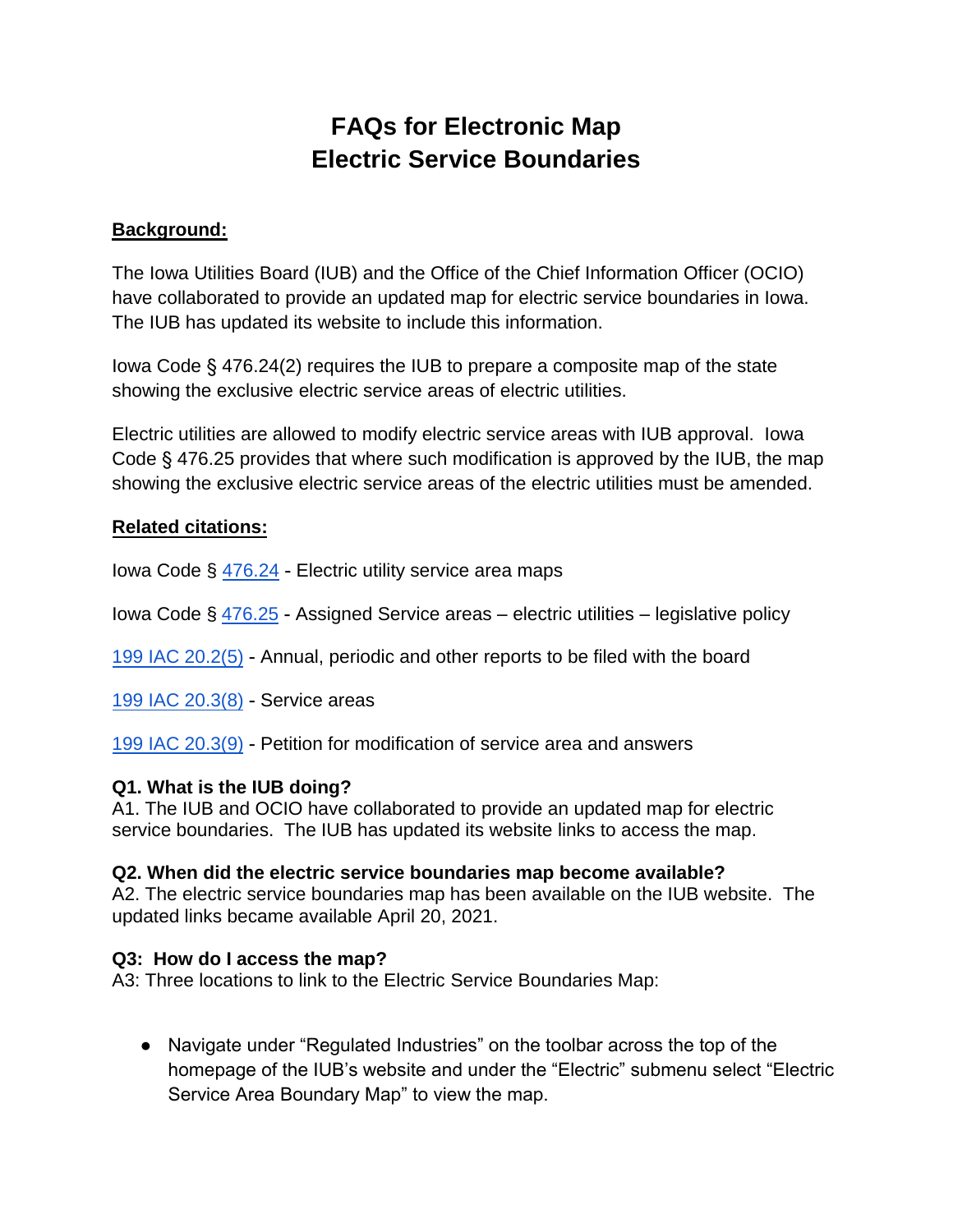# **FAQs for Electronic Map Electric Service Boundaries**

## **Background:**

The Iowa Utilities Board (IUB) and the Office of the Chief Information Officer (OCIO) have collaborated to provide an updated map for electric service boundaries in Iowa. The IUB has updated its website to include this information.

Iowa Code § 476.24(2) requires the IUB to prepare a composite map of the state showing the exclusive electric service areas of electric utilities.

Electric utilities are allowed to modify electric service areas with IUB approval. Iowa Code § 476.25 provides that where such modification is approved by the IUB, the map showing the exclusive electric service areas of the electric utilities must be amended.

## **Related citations:**

Iowa Code § 476.24 - Electric utility service area maps

Iowa Code  $\S 476.25$  $\S 476.25$  - Assigned Service areas – electric utilities – legislative policy

199 IAC 20.[2\(5\)](https://www.legis.iowa.gov/docs/code/476.25.pdf) - Annual, periodic and other reports to be filed with the board

[199 IAC 20.3\(8\)](https://www.legis.iowa.gov/docs/iac/rule/12-05-2018.199.20.2.pdf) - Service areas

[199 IAC 20.3\(9\)](https://www.legis.iowa.gov/docs/iac/rule/11-20-2019.199.20.3.pdf) - Petition for modification of service area and answers

## **[Q1. What is the](https://www.legis.iowa.gov/docs/iac/rule/11-20-2019.199.20.3.pdf) IUB doing?**

A1. The IUB and OCIO have collaborated to provide an updated map for electric service boundaries. The IUB has updated its website links to access the map.

## **Q2. When did the electric service boundaries map become available?**

A2. The electric service boundaries map has been available on the IUB website. The updated links became available April 20, 2021.

## **Q3: How do I access the map?**

A3: Three locations to link to the Electric Service Boundaries Map:

● Navigate under "Regulated Industries" on the toolbar across the top of the homepage of the IUB's website and under the "Electric" submenu select "Electric Service Area Boundary Map" to view the map.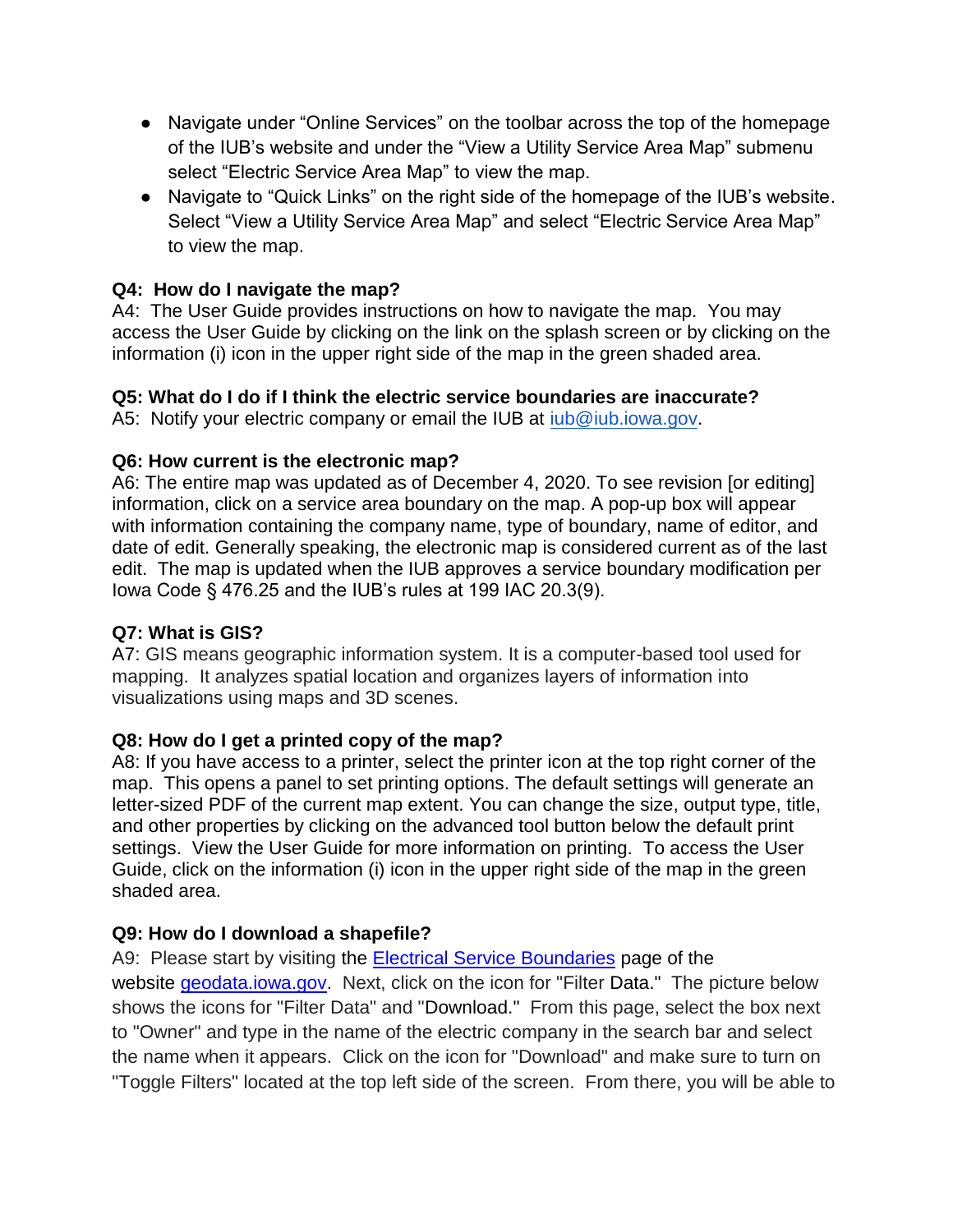- Navigate under "Online Services" on the toolbar across the top of the homepage of the IUB's website and under the "View a Utility Service Area Map" submenu select "Electric Service Area Map" to view the map.
- Navigate to "Quick Links" on the right side of the homepage of the IUB's website. Select "View a Utility Service Area Map" and select "Electric Service Area Map" to view the map.

# **Q4: How do I navigate the map?**

A4: The User Guide provides instructions on how to navigate the map. You may access the User Guide by clicking on the link on the splash screen or by clicking on the information (i) icon in the upper right side of the map in the green shaded area.

## **Q5: What do I do if I think the electric service boundaries are inaccurate?**

A5: Notify your electric company or email the IUB at [iub@iub.iowa.gov.](mailto:iub@iub.iowa.gov)

## **Q6: How current is the electronic map?**

A6: The entire map was updated as of December 4, 2020. To see revision [or editing] information, click on a service area boundary on the map. A pop-up box will appear with information containing the company name, type of boundary, name of editor, and date of edit. Generally speaking, the electronic map is considered current as of the last edit. The map is updated when the IUB approves a service boundary modification per Iowa Code § 476.25 and the IUB's rules at 199 IAC 20.3(9).

# **Q7: What is GIS?**

A7: GIS means geographic information system. It is a computer-based tool used for mapping. It analyzes spatial location and organizes layers of information into visualizations using maps and 3D scenes.

## **Q8: How do I get a printed copy of the map?**

A8: If you have access to a printer, select the printer icon at the top right corner of the map. This opens a panel to set printing options. The default settings will generate an letter-sized PDF of the current map extent. You can change the size, output type, title, and other properties by clicking on the advanced tool button below the default print settings. View the User Guide for more information on printing. To access the User Guide, click on the information (i) icon in the upper right side of the map in the green shaded area.

# **Q9: How do I download a shapefile?**

A9: Please start by visiting the [Electrical Service Boundaries](https://geodata.iowa.gov/datasets/electrical-service-boundaries/explore?location=41.884735%2C-93.329999%2C8.00&showTable=true) page of the website [geodata.iowa.gov.](https://geodata.iowa.gov/) Next, click on the icon for "Filter Data." The picture below shows the icons for "Filter Data" and "Download." From this page, select the box next to "Owner" and type in the name of the electric company in the search bar and select the name when it appears. Click on the icon for "Download" and make sure to turn on "Toggle Filters" located at the top left side of the screen. From there, you will be able to